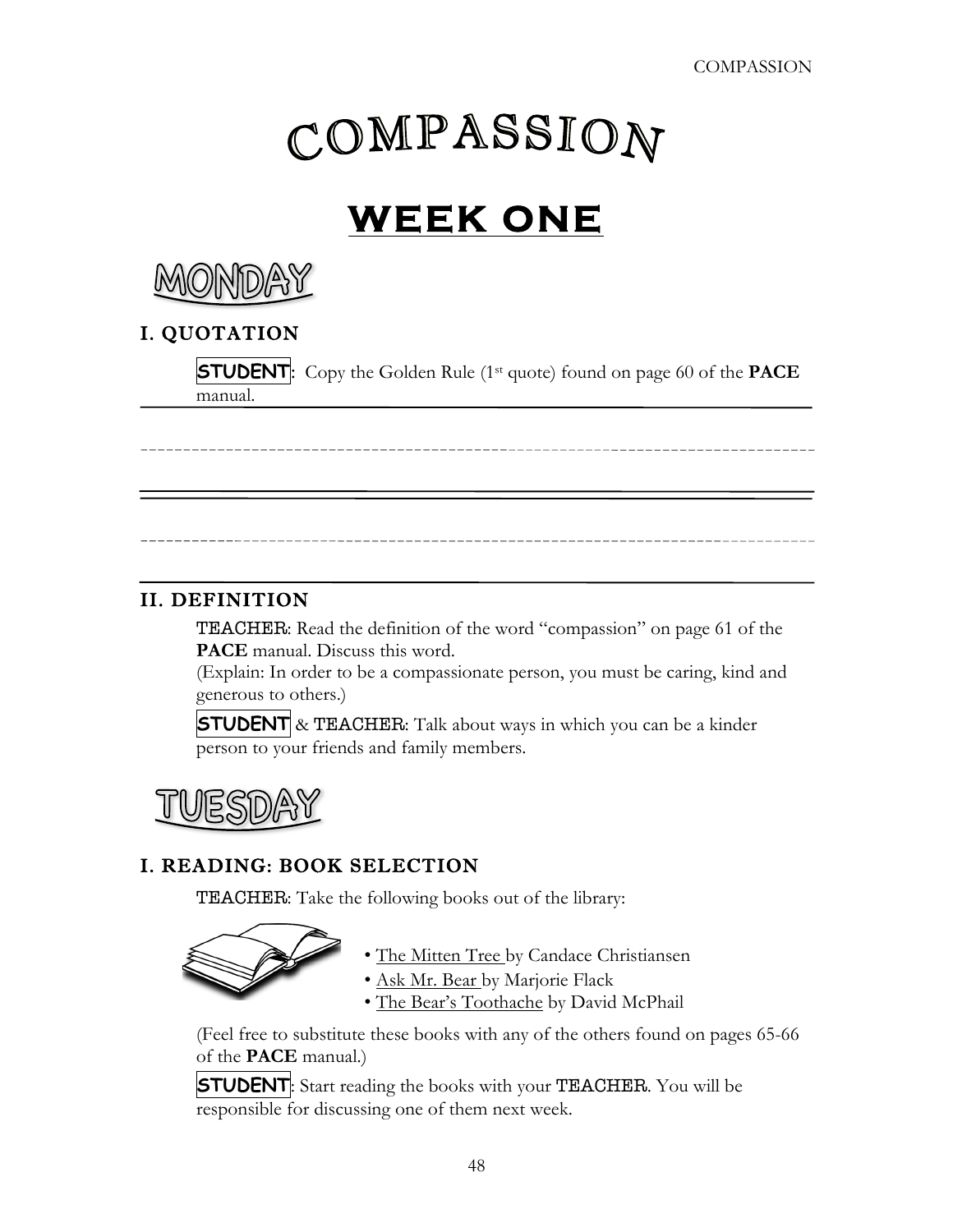# COMPASSION

# **WEEK ONE**



# I. QUOTATION

**STUDENT:** Copy the Golden Rule (1<sup>st</sup> quote) found on page 60 of the **PACE** manual.

### II. DEFINITION

TEACHER: Read the definition of the word "compassion" on page 61 of the **PACE** manual. Discuss this word.

(Explain: In order to be a compassionate person, you must be caring, kind and generous to others.)

**STUDENT** & TEACHER: Talk about ways in which you can be a kinder person to your friends and family members.

#### I. READING: BOOK SELECTION

TEACHER: Take the following books out of the library:



- The Mitten Tree by Candace Christiansen
- Ask Mr. Bear by Marjorie Flack
- The Bear's Toothache by David McPhail

(Feel free to substitute these books with any of the others found on pages 65-66 of the **PACE** manual.)

**STUDENT:** Start reading the books with your **TEACHER**. You will be responsible for discussing one of them next week.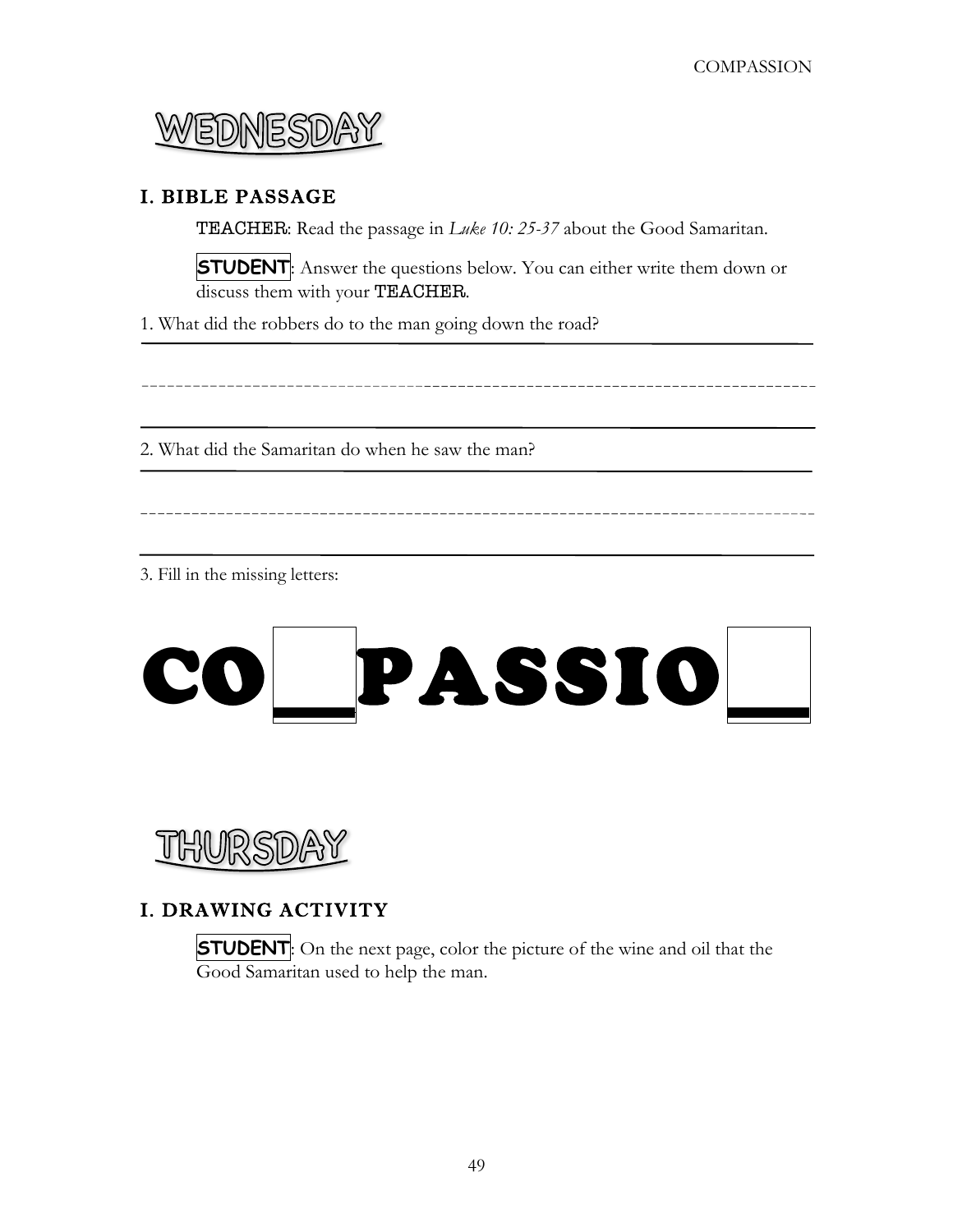

#### I. BIBLE PASSAGE

TEACHER: Read the passage in *Luke 10: 25-37* about the Good Samaritan.

**STUDENT**: Answer the questions below. You can either write them down or discuss them with your TEACHER.

1. What did the robbers do to the man going down the road?

2. What did the Samaritan do when he saw the man?

3. Fill in the missing letters:



#### I. DRAWING ACTIVITY

**STUDENT**: On the next page, color the picture of the wine and oil that the Good Samaritan used to help the man.